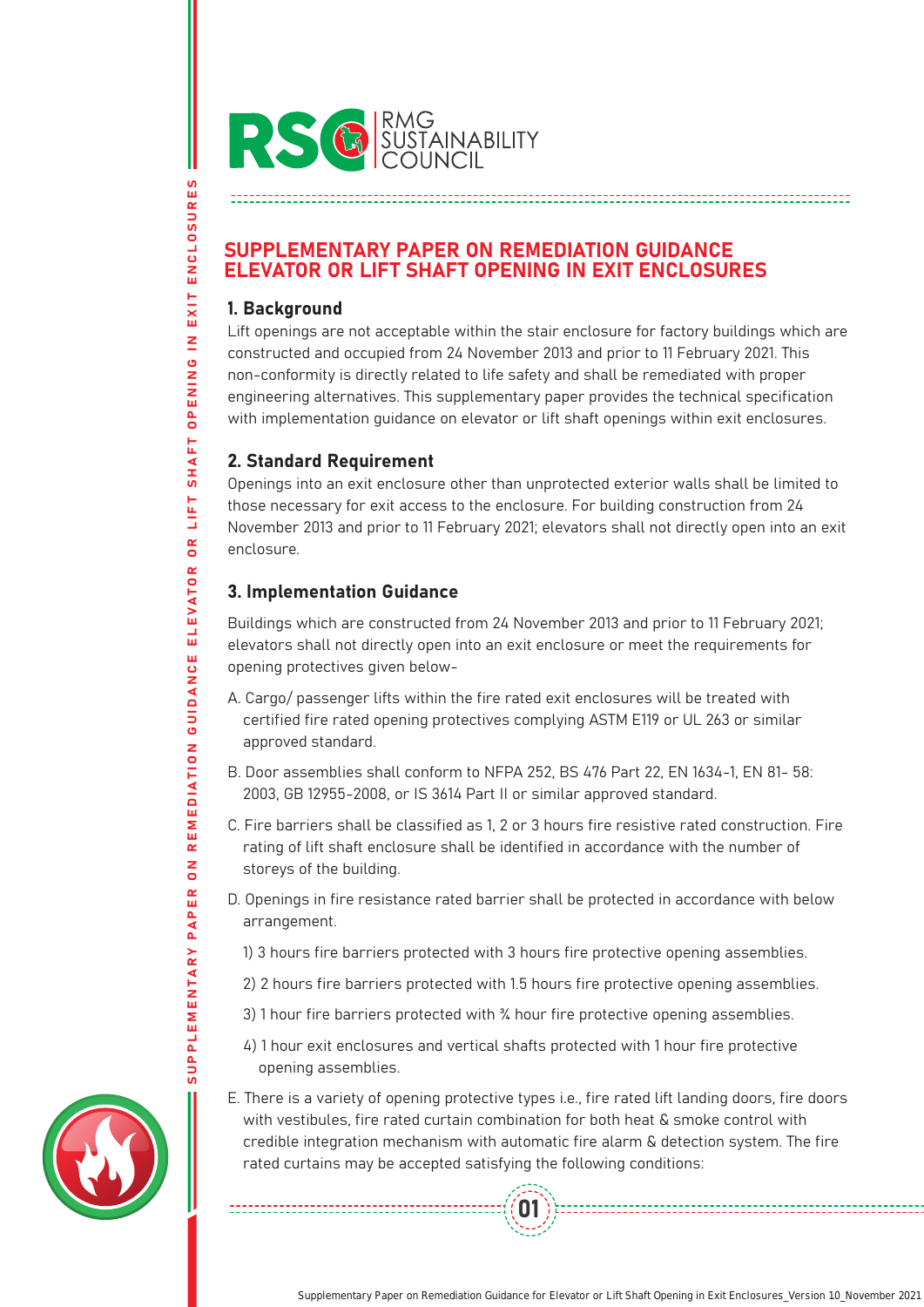

## SUPPLEMENTARY PAPER ON REMEDIATION GUIDANCE ELEVATOR OR LIFT SHAFT OPENING IN EXIT ENCLOSURES

#### 1. Background

SUPPLEMENTARY PAPER ON REMEDIATION GUIDANCE ELEVATOR OR LIFT SHAFT OPENING IN EXIT ENCLOSURES

**GUIDANCE** 

REMEDIATION

 $\overline{a}$ 

PAPER

ELEVATOR

**ENCLOSURES** 

EXIT

**OPENING IN** 

SHAFT

LIFT

 $\frac{\alpha}{\alpha}$ 

Lift openings are not acceptable within the stair enclosure for factory buildings which are constructed and occupied from 24 November 2013 and prior to 11 February 2021. This non-conformity is directly related to life safety and shall be remediated with proper engineering alternatives. This supplementary paper provides the technical specification with implementation guidance on elevator or lift shaft openings within exit enclosures.

### 2. Standard Requirement

Openings into an exit enclosure other than unprotected exterior walls shall be limited to those necessary for exit access to the enclosure. For building construction from 24 November 2013 and prior to 11 February 2021; elevators shall not directly open into an exit enclosure.

# 3. Implementation Guidance

--------------------------

Buildings which are constructed from 24 November 2013 and prior to 11 February 2021; elevators shall not directly open into an exit enclosure or meet the requirements for opening protectives given below-

- A. Cargo/ passenger lifts within the fire rated exit enclosures will be treated with certified fire rated opening protectives complying ASTM E119 or UL 263 or similar approved standard.
- B. Door assemblies shall conform to NFPA 252, BS 476 Part 22, EN 1634-1, EN 81- 58: 2003, GB 12955-2008, or IS 3614 Part II or similar approved standard.
- C. Fire barriers shall be classified as 1, 2 or 3 hours fire resistive rated construction. Fire rating of lift shaft enclosure shall be identified in accordance with the number of storeys of the building.
- D. Openings in fire resistance rated barrier shall be protected in accordance with below arrangement.
	- 1) 3 hours fire barriers protected with 3 hours fire protective opening assemblies.
	- 2) 2 hours fire barriers protected with 1.5 hours fire protective opening assemblies.
	- 3) 1 hour fire barriers protected with ¾ hour fire protective opening assemblies.
	- 4) 1 hour exit enclosures and vertical shafts protected with 1 hour fire protective opening assemblies.
- E. There is a variety of opening protective types i.e., fire rated lift landing doors, fire doors with vestibules, fire rated curtain combination for both heat & smoke control with credible integration mechanism with automatic fire alarm & detection system. The fire rated curtains may be accepted satisfying the following conditions:

01